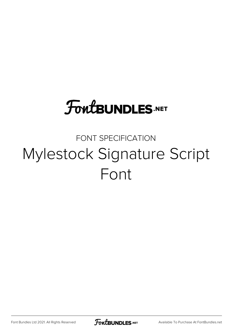## **FoutBUNDLES.NET**

## FONT SPECIFICATION Mylestock Signature Script Font

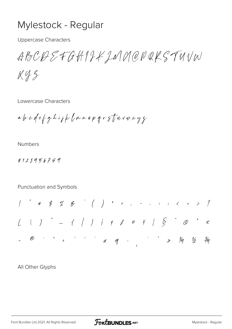## Mylestock - Regular

**Uppercase Characters** 

ABCOSSFGHIJKJNNOPQKSTUVW

 $X42$ 

Lowercase Characters

abcolefghiph (mnopqrstwvwxyz

**Numbers** 

0123456789

Punctuation and Symbols

All Other Glyphs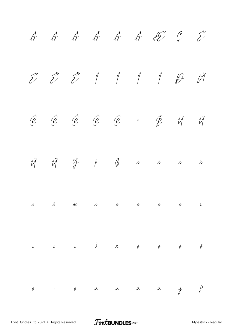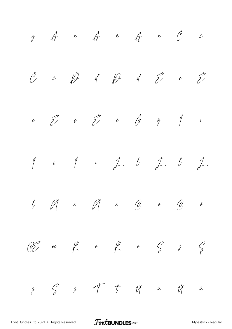$\ddot{y}$   $\dot{A}$   $\ddot{a}$   $\ddot{A}$   $\ddot{a}$   $\ddot{c}$  $\check{\mathcal{C}}$  č  $\check{\mathcal{D}}$  d  $\mathcal{D}$  d  $\mathcal{\hat{C}}$  e  $\check{\mathcal{C}}$  $\stackrel{\circ}{\epsilon}$   $\stackrel{\circ}{\epsilon}$   $\stackrel{\circ}{\epsilon}$   $\stackrel{\circ}{\epsilon}$   $\stackrel{\circ}{\epsilon}$   $\stackrel{\circ}{\epsilon}$   $\stackrel{\circ}{\epsilon}$   $\stackrel{\circ}{\epsilon}$ Į į İ ı Ĺ ĺ Ľ ľ Ł ł Ń ń Ň ň Ō ō Ő ő  $\mathbb{C}\hspace{-0.5ex}\mathscr{E}\hspace{0.2ex}$  be  $\overline{\mathscr{E}}$  if  $\overline{\mathscr{E}}$  if  $\overline{\mathscr{E}}$  if  $\overline{\mathscr{E}}$  $\zeta$   $\zeta$   $\zeta$   $\zeta$   $\zeta$   $\zeta$   $\zeta$   $\zeta$   $\zeta$   $\zeta$   $\zeta$   $\zeta$   $\zeta$   $\zeta$   $\zeta$   $\zeta$   $\zeta$   $\zeta$   $\zeta$   $\zeta$   $\zeta$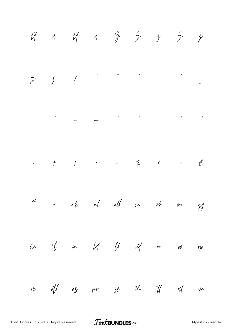$\begin{array}{ccccc} \check{\mathcal{U}} & \check{\mathcal{U}} & \check{\mathcal{U}} & \mathcal{U} & \mathcal{U} & \check{\mathcal{U}} & \check{\mathcal{Y}} & \hat{\mathcal{Y}} & \hat{\mathcal{Y}} & \hat{\mathcal{Y}} & \hat{\mathcal{Y}} \end{array}$  $\check{\zeta}$  f is the set of  $\check{\zeta}$  $\bigotimes$  $\overline{\nu}$  $\label{eq:2.1} \mathcal{L}(\mathcal{L}^{\mathcal{L}}_{\mathcal{L}}(\mathcal{L}^{\mathcal{L}}_{\mathcal{L}})) = \mathcal{L}(\mathcal{L}^{\mathcal{L}}_{\mathcal{L}}(\mathcal{L}^{\mathcal{L}}_{\mathcal{L}})) = \mathcal{L}(\mathcal{L}^{\mathcal{L}}_{\mathcal{L}}(\mathcal{L}^{\mathcal{L}}_{\mathcal{L}})) = \mathcal{L}(\mathcal{L}^{\mathcal{L}}_{\mathcal{L}}(\mathcal{L}^{\mathcal{L}}_{\mathcal{L}})) = \mathcal{L}(\mathcal{L}^{\mathcal{L}}$  $\mathbf{u}$  and  $\mathbf{u}$  $\overline{v}$  $\begin{array}{cccccccccccccc} \uparrow & & \uparrow & & & \bullet & & \cdots & & \text{\textit{7}}_{\circ} & & & & \text{\textit{1}} & & \text{\textit{2}} & & \text{\textit{2}} & & \text{\textit{3}} & & \text{\textit{4}} & & \text{\textit{5}} & & \text{\textit{6}} & & \text{\textit{7}} & & \text{\textit{8}} & & \text{\textit{8}} & & \text{\textit{9}} & & \text{\textit{1}} & & \text{\textit{1}} & & \text{\textit{1}} & & \text{\textit{1}} & & \text{\textit{1}} & & \text{\textit{1}} & & \text{\text$  $\mathbf{u}$ -  $\alpha/\gamma$  all  $\alpha\ell$  cc  $\alpha/\gamma$  en  $\widetilde{\mathcal{M}}$  $\gamma$ hi if in  $M$   $M$   $nT$  $\mathbf{\hat{y}}$  $\pmb{\rho}\pmb{\varrho}$  $\gamma_{\gamma}$ aft oz pp gg th tt ul we  $\mathcal{P}_U$